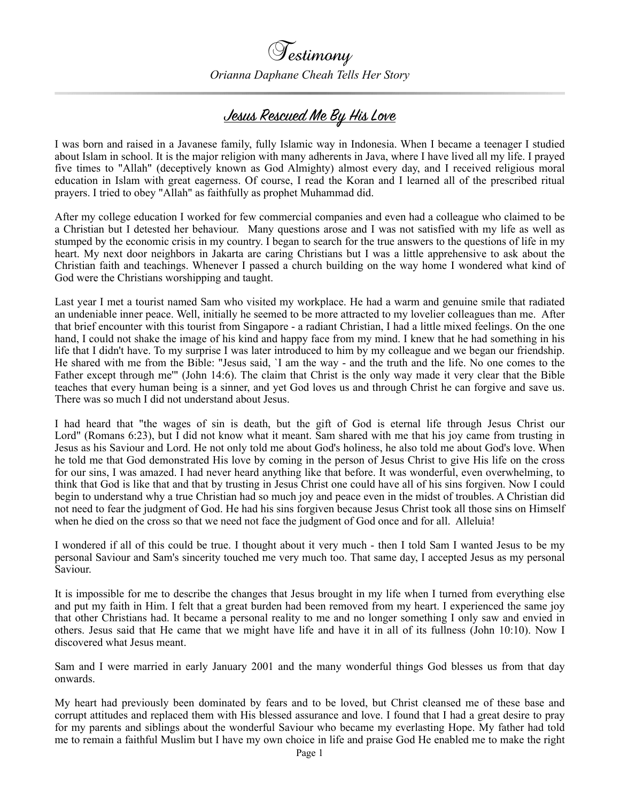

*Orianna Daphane Cheah Tells Her Story*

## Jesus Rescued Me By His Love

I was born and raised in a Javanese family, fully Islamic way in Indonesia. When I became a teenager I studied about Islam in school. It is the major religion with many adherents in Java, where I have lived all my life. I prayed five times to "Allah" (deceptively known as God Almighty) almost every day, and I received religious moral education in Islam with great eagerness. Of course, I read the Koran and I learned all of the prescribed ritual prayers. I tried to obey "Allah" as faithfully as prophet Muhammad did.

After my college education I worked for few commercial companies and even had a colleague who claimed to be a Christian but I detested her behaviour. Many questions arose and I was not satisfied with my life as well as stumped by the economic crisis in my country. I began to search for the true answers to the questions of life in my heart. My next door neighbors in Jakarta are caring Christians but I was a little apprehensive to ask about the Christian faith and teachings. Whenever I passed a church building on the way home I wondered what kind of God were the Christians worshipping and taught.

Last year I met a tourist named Sam who visited my workplace. He had a warm and genuine smile that radiated an undeniable inner peace. Well, initially he seemed to be more attracted to my lovelier colleagues than me. After that brief encounter with this tourist from Singapore - a radiant Christian, I had a little mixed feelings. On the one hand, I could not shake the image of his kind and happy face from my mind. I knew that he had something in his life that I didn't have. To my surprise I was later introduced to him by my colleague and we began our friendship. He shared with me from the Bible: "Jesus said, `I am the way - and the truth and the life. No one comes to the Father except through me'" (John 14:6). The claim that Christ is the only way made it very clear that the Bible teaches that every human being is a sinner, and yet God loves us and through Christ he can forgive and save us. There was so much I did not understand about Jesus.

I had heard that "the wages of sin is death, but the gift of God is eternal life through Jesus Christ our Lord" (Romans 6:23), but I did not know what it meant. Sam shared with me that his joy came from trusting in Jesus as his Saviour and Lord. He not only told me about God's holiness, he also told me about God's love. When he told me that God demonstrated His love by coming in the person of Jesus Christ to give His life on the cross for our sins, I was amazed. I had never heard anything like that before. It was wonderful, even overwhelming, to think that God is like that and that by trusting in Jesus Christ one could have all of his sins forgiven. Now I could begin to understand why a true Christian had so much joy and peace even in the midst of troubles. A Christian did not need to fear the judgment of God. He had his sins forgiven because Jesus Christ took all those sins on Himself when he died on the cross so that we need not face the judgment of God once and for all. Alleluia!

I wondered if all of this could be true. I thought about it very much - then I told Sam I wanted Jesus to be my personal Saviour and Sam's sincerity touched me very much too. That same day, I accepted Jesus as my personal Saviour.

It is impossible for me to describe the changes that Jesus brought in my life when I turned from everything else and put my faith in Him. I felt that a great burden had been removed from my heart. I experienced the same joy that other Christians had. It became a personal reality to me and no longer something I only saw and envied in others. Jesus said that He came that we might have life and have it in all of its fullness (John 10:10). Now I discovered what Jesus meant.

Sam and I were married in early January 2001 and the many wonderful things God blesses us from that day onwards.

My heart had previously been dominated by fears and to be loved, but Christ cleansed me of these base and corrupt attitudes and replaced them with His blessed assurance and love. I found that I had a great desire to pray for my parents and siblings about the wonderful Saviour who became my everlasting Hope. My father had told me to remain a faithful Muslim but I have my own choice in life and praise God He enabled me to make the right